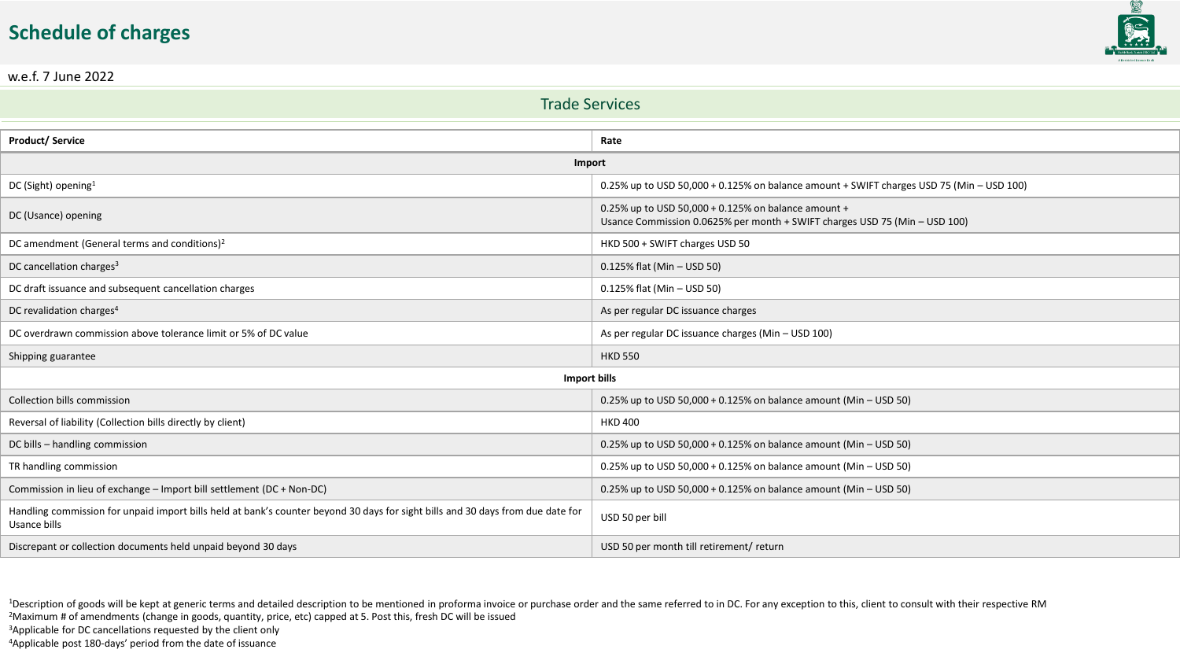## **Schedule of charges**



w.e.f. 7 June 2022

| <b>Trade Services</b>                                                                                                                           |                                                                                                                                   |  |
|-------------------------------------------------------------------------------------------------------------------------------------------------|-----------------------------------------------------------------------------------------------------------------------------------|--|
|                                                                                                                                                 |                                                                                                                                   |  |
| <b>Product/Service</b>                                                                                                                          | Rate                                                                                                                              |  |
| Import                                                                                                                                          |                                                                                                                                   |  |
| DC (Sight) opening <sup>1</sup>                                                                                                                 | 0.25% up to USD 50,000 + 0.125% on balance amount + SWIFT charges USD 75 (Min - USD 100)                                          |  |
| DC (Usance) opening                                                                                                                             | 0.25% up to USD 50,000 + 0.125% on balance amount +<br>Usance Commission 0.0625% per month + SWIFT charges USD 75 (Min - USD 100) |  |
| DC amendment (General terms and conditions) <sup>2</sup>                                                                                        | HKD 500 + SWIFT charges USD 50                                                                                                    |  |
| DC cancellation charges <sup>3</sup>                                                                                                            | 0.125% flat (Min - USD 50)                                                                                                        |  |
| DC draft issuance and subsequent cancellation charges                                                                                           | 0.125% flat (Min - USD 50)                                                                                                        |  |
| DC revalidation charges <sup>4</sup>                                                                                                            | As per regular DC issuance charges                                                                                                |  |
| DC overdrawn commission above tolerance limit or 5% of DC value                                                                                 | As per regular DC issuance charges (Min - USD 100)                                                                                |  |
| Shipping guarantee                                                                                                                              | <b>HKD 550</b>                                                                                                                    |  |
| <b>Import bills</b>                                                                                                                             |                                                                                                                                   |  |
| Collection bills commission                                                                                                                     | 0.25% up to USD 50,000 + 0.125% on balance amount (Min - USD 50)                                                                  |  |
| Reversal of liability (Collection bills directly by client)                                                                                     | <b>HKD 400</b>                                                                                                                    |  |
| DC bills - handling commission                                                                                                                  | 0.25% up to USD 50,000 + 0.125% on balance amount (Min – USD 50)                                                                  |  |
| TR handling commission                                                                                                                          | 0.25% up to USD 50,000 + 0.125% on balance amount (Min - USD 50)                                                                  |  |
| Commission in lieu of exchange - Import bill settlement (DC + Non-DC)                                                                           | 0.25% up to USD 50,000 + 0.125% on balance amount (Min - USD 50)                                                                  |  |
| Handling commission for unpaid import bills held at bank's counter beyond 30 days for sight bills and 30 days from due date for<br>Usance bills | USD 50 per bill                                                                                                                   |  |
| Discrepant or collection documents held unpaid beyond 30 days                                                                                   | USD 50 per month till retirement/ return                                                                                          |  |

<sup>1</sup>Description of goods will be kept at generic terms and detailed description to be mentioned in proforma invoice or purchase order and the same referred to in DC. For any exception to this, client to consult with their r <sup>2</sup>Maximum # of amendments (change in goods, quantity, price, etc) capped at 5. Post this, fresh DC will be issued <sup>3</sup>Applicable for DC cancellations requested by the client only

<sup>4</sup>Applicable post 180-days' period from the date of issuance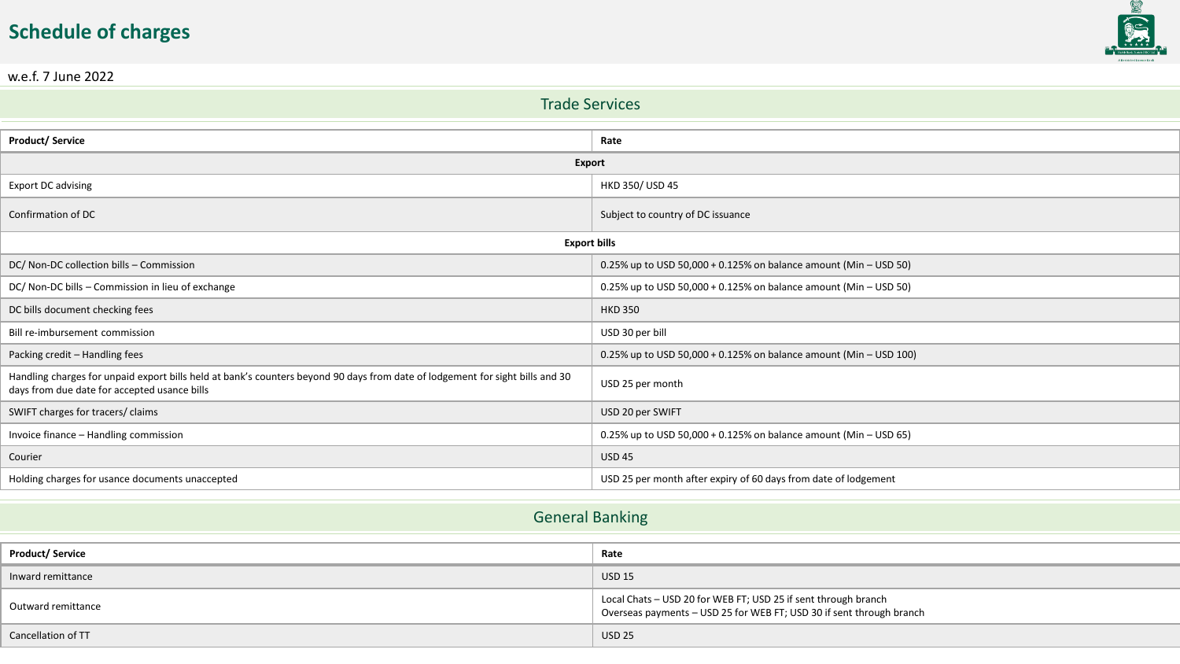## **Schedule of charges**



w.e.f. 7 June 2022

| <b>Trade Services</b>                                             |  |  |
|-------------------------------------------------------------------|--|--|
|                                                                   |  |  |
| Rate                                                              |  |  |
| <b>Export</b>                                                     |  |  |
| HKD 350/ USD 45                                                   |  |  |
| Subject to country of DC issuance                                 |  |  |
| <b>Export bills</b>                                               |  |  |
| 0.25% up to USD 50,000 + 0.125% on balance amount (Min - USD 50)  |  |  |
| 0.25% up to USD 50,000 + 0.125% on balance amount (Min - USD 50)  |  |  |
| <b>HKD 350</b>                                                    |  |  |
| USD 30 per bill                                                   |  |  |
| 0.25% up to USD 50,000 + 0.125% on balance amount (Min - USD 100) |  |  |
| USD 25 per month                                                  |  |  |
| USD 20 per SWIFT                                                  |  |  |
| 0.25% up to USD 50,000 + 0.125% on balance amount (Min - USD 65)  |  |  |
| <b>USD 45</b>                                                     |  |  |
| USD 25 per month after expiry of 60 days from date of lodgement   |  |  |
|                                                                   |  |  |

## General Banking

| <b>Product/ Service</b> | Rate                                                                                                                                   |
|-------------------------|----------------------------------------------------------------------------------------------------------------------------------------|
| Inward remittance       | <b>USD 15</b>                                                                                                                          |
| Outward remittance      | Local Chats - USD 20 for WEB FT; USD 25 if sent through branch<br>Overseas payments - USD 25 for WEB FT; USD 30 if sent through branch |
| Cancellation of TT      | <b>USD 25</b>                                                                                                                          |